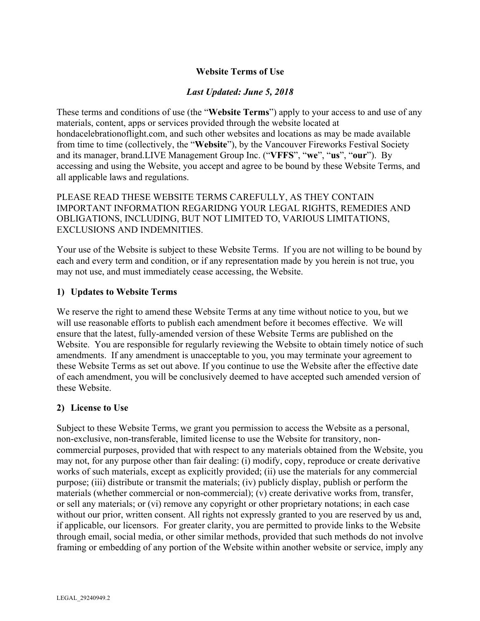# **Website Terms of Use**

# *Last Updated: June 5, 2018*

These terms and conditions of use (the "**Website Terms**") apply to your access to and use of any materials, content, apps or services provided through the website located at hondacelebrationoflight.com, and such other websites and locations as may be made available from time to time (collectively, the "**Website**"), by the Vancouver Fireworks Festival Society and its manager, brand.LIVE Management Group Inc. ("**VFFS**", "**we**", "**us**", "**our**"). By accessing and using the Website, you accept and agree to be bound by these Website Terms, and all applicable laws and regulations.

PLEASE READ THESE WEBSITE TERMS CAREFULLY, AS THEY CONTAIN IMPORTANT INFORMATION REGARIDNG YOUR LEGAL RIGHTS, REMEDIES AND OBLIGATIONS, INCLUDING, BUT NOT LIMITED TO, VARIOUS LIMITATIONS, EXCLUSIONS AND INDEMNITIES.

Your use of the Website is subject to these Website Terms. If you are not willing to be bound by each and every term and condition, or if any representation made by you herein is not true, you may not use, and must immediately cease accessing, the Website.

### **1) Updates to Website Terms**

We reserve the right to amend these Website Terms at any time without notice to you, but we will use reasonable efforts to publish each amendment before it becomes effective. We will ensure that the latest, fully-amended version of these Website Terms are published on the Website. You are responsible for regularly reviewing the Website to obtain timely notice of such amendments. If any amendment is unacceptable to you, you may terminate your agreement to these Website Terms as set out above. If you continue to use the Website after the effective date of each amendment, you will be conclusively deemed to have accepted such amended version of these Website.

## **2) License to Use**

Subject to these Website Terms, we grant you permission to access the Website as a personal, non-exclusive, non-transferable, limited license to use the Website for transitory, noncommercial purposes, provided that with respect to any materials obtained from the Website, you may not, for any purpose other than fair dealing: (i) modify, copy, reproduce or create derivative works of such materials, except as explicitly provided; (ii) use the materials for any commercial purpose; (iii) distribute or transmit the materials; (iv) publicly display, publish or perform the materials (whether commercial or non-commercial); (v) create derivative works from, transfer, or sell any materials; or (vi) remove any copyright or other proprietary notations; in each case without our prior, written consent. All rights not expressly granted to you are reserved by us and, if applicable, our licensors. For greater clarity, you are permitted to provide links to the Website through email, social media, or other similar methods, provided that such methods do not involve framing or embedding of any portion of the Website within another website or service, imply any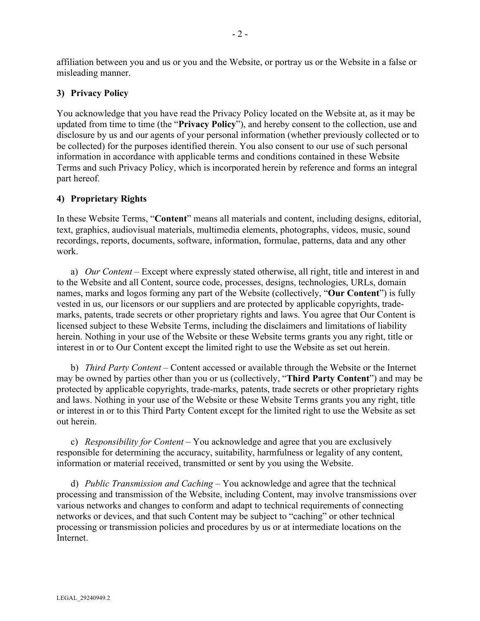affiliation between you and us or you and the Website, or portray us or the Website in a false or misleading manner.

### **3) Privacy Policy**

You acknowledge that you have read the Privacy Policy located on the Website at, as it may be updated from time to time (the "**Privacy Policy**"), and hereby consent to the collection, use and disclosure by us and our agents of your personal information (whether previously collected or to be collected) for the purposes identified therein. You also consent to our use of such personal information in accordance with applicable terms and conditions contained in these Website Terms and such Privacy Policy, which is incorporated herein by reference and forms an integral part hereof.

### **4) Proprietary Rights**

In these Website Terms, "**Content**" means all materials and content, including designs, editorial, text, graphics, audiovisual materials, multimedia elements, photographs, videos, music, sound recordings, reports, documents, software, information, formulae, patterns, data and any other work.

a) *Our Content* – Except where expressly stated otherwise, all right, title and interest in and to the Website and all Content, source code, processes, designs, technologies, URLs, domain names, marks and logos forming any part of the Website (collectively, "**Our Content**") is fully vested in us, our licensors or our suppliers and are protected by applicable copyrights, trademarks, patents, trade secrets or other proprietary rights and laws. You agree that Our Content is licensed subject to these Website Terms, including the disclaimers and limitations of liability herein. Nothing in your use of the Website or these Website terms grants you any right, title or interest in or to Our Content except the limited right to use the Website as set out herein.

b) *Third Party Content* – Content accessed or available through the Website or the Internet may be owned by parties other than you or us (collectively, "**Third Party Content**") and may be protected by applicable copyrights, trade-marks, patents, trade secrets or other proprietary rights and laws. Nothing in your use of the Website or these Website Terms grants you any right, title or interest in or to this Third Party Content except for the limited right to use the Website as set out herein.

c) *Responsibility for Content* – You acknowledge and agree that you are exclusively responsible for determining the accuracy, suitability, harmfulness or legality of any content, information or material received, transmitted or sent by you using the Website.

d) *Public Transmission and Caching* – You acknowledge and agree that the technical processing and transmission of the Website, including Content, may involve transmissions over various networks and changes to conform and adapt to technical requirements of connecting networks or devices, and that such Content may be subject to "caching" or other technical processing or transmission policies and procedures by us or at intermediate locations on the Internet.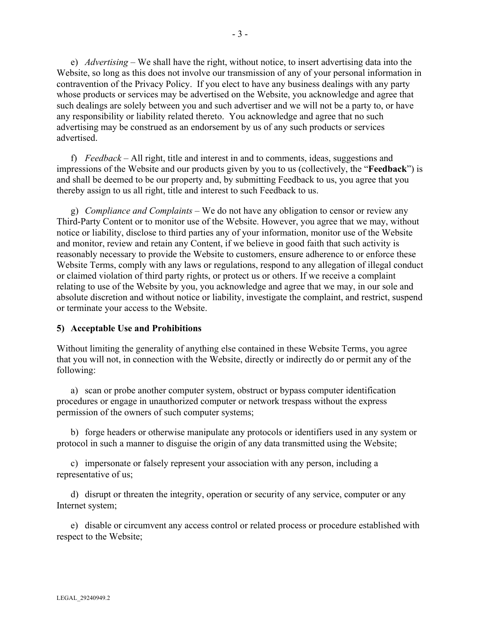e) *Advertising* – We shall have the right, without notice, to insert advertising data into the Website, so long as this does not involve our transmission of any of your personal information in contravention of the Privacy Policy. If you elect to have any business dealings with any party whose products or services may be advertised on the Website, you acknowledge and agree that such dealings are solely between you and such advertiser and we will not be a party to, or have any responsibility or liability related thereto. You acknowledge and agree that no such advertising may be construed as an endorsement by us of any such products or services advertised.

f) *Feedback* – All right, title and interest in and to comments, ideas, suggestions and impressions of the Website and our products given by you to us (collectively, the "**Feedback**") is and shall be deemed to be our property and, by submitting Feedback to us, you agree that you thereby assign to us all right, title and interest to such Feedback to us.

g) *Compliance and Complaints* – We do not have any obligation to censor or review any Third-Party Content or to monitor use of the Website. However, you agree that we may, without notice or liability, disclose to third parties any of your information, monitor use of the Website and monitor, review and retain any Content, if we believe in good faith that such activity is reasonably necessary to provide the Website to customers, ensure adherence to or enforce these Website Terms, comply with any laws or regulations, respond to any allegation of illegal conduct or claimed violation of third party rights, or protect us or others. If we receive a complaint relating to use of the Website by you, you acknowledge and agree that we may, in our sole and absolute discretion and without notice or liability, investigate the complaint, and restrict, suspend or terminate your access to the Website.

#### **5) Acceptable Use and Prohibitions**

Without limiting the generality of anything else contained in these Website Terms, you agree that you will not, in connection with the Website, directly or indirectly do or permit any of the following:

a) scan or probe another computer system, obstruct or bypass computer identification procedures or engage in unauthorized computer or network trespass without the express permission of the owners of such computer systems;

b) forge headers or otherwise manipulate any protocols or identifiers used in any system or protocol in such a manner to disguise the origin of any data transmitted using the Website;

c) impersonate or falsely represent your association with any person, including a representative of us;

d) disrupt or threaten the integrity, operation or security of any service, computer or any Internet system;

e) disable or circumvent any access control or related process or procedure established with respect to the Website;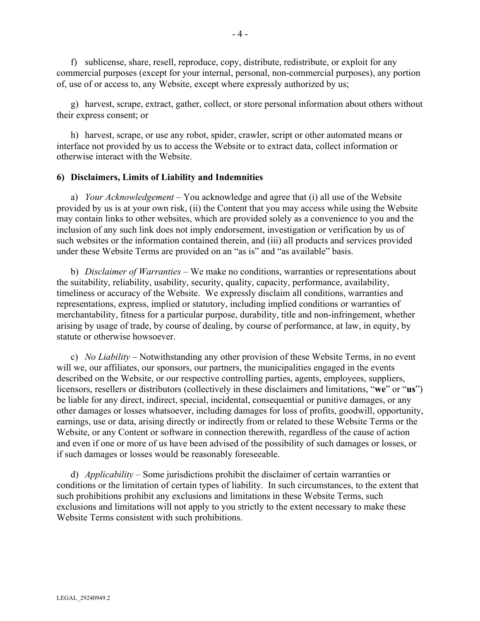f) sublicense, share, resell, reproduce, copy, distribute, redistribute, or exploit for any commercial purposes (except for your internal, personal, non-commercial purposes), any portion of, use of or access to, any Website, except where expressly authorized by us;

g) harvest, scrape, extract, gather, collect, or store personal information about others without their express consent; or

h) harvest, scrape, or use any robot, spider, crawler, script or other automated means or interface not provided by us to access the Website or to extract data, collect information or otherwise interact with the Website.

#### **6) Disclaimers, Limits of Liability and Indemnities**

a) *Your Acknowledgement* – You acknowledge and agree that (i) all use of the Website provided by us is at your own risk, (ii) the Content that you may access while using the Website may contain links to other websites, which are provided solely as a convenience to you and the inclusion of any such link does not imply endorsement, investigation or verification by us of such websites or the information contained therein, and (iii) all products and services provided under these Website Terms are provided on an "as is" and "as available" basis.

b) *Disclaimer of Warranties* – We make no conditions, warranties or representations about the suitability, reliability, usability, security, quality, capacity, performance, availability, timeliness or accuracy of the Website. We expressly disclaim all conditions, warranties and representations, express, implied or statutory, including implied conditions or warranties of merchantability, fitness for a particular purpose, durability, title and non-infringement, whether arising by usage of trade, by course of dealing, by course of performance, at law, in equity, by statute or otherwise howsoever.

c) *No Liability* – Notwithstanding any other provision of these Website Terms, in no event will we, our affiliates, our sponsors, our partners, the municipalities engaged in the events described on the Website, or our respective controlling parties, agents, employees, suppliers, licensors, resellers or distributors (collectively in these disclaimers and limitations, "**we**" or "**us**") be liable for any direct, indirect, special, incidental, consequential or punitive damages, or any other damages or losses whatsoever, including damages for loss of profits, goodwill, opportunity, earnings, use or data, arising directly or indirectly from or related to these Website Terms or the Website, or any Content or software in connection therewith, regardless of the cause of action and even if one or more of us have been advised of the possibility of such damages or losses, or if such damages or losses would be reasonably foreseeable.

d) *Applicability* – Some jurisdictions prohibit the disclaimer of certain warranties or conditions or the limitation of certain types of liability. In such circumstances, to the extent that such prohibitions prohibit any exclusions and limitations in these Website Terms, such exclusions and limitations will not apply to you strictly to the extent necessary to make these Website Terms consistent with such prohibitions.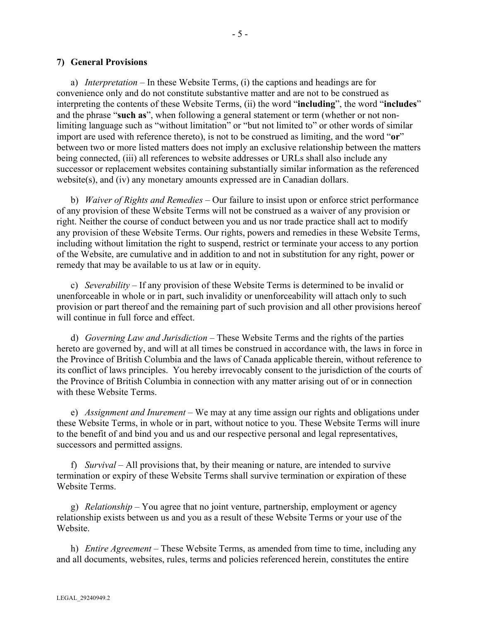#### **7) General Provisions**

a) *Interpretation* – In these Website Terms, (i) the captions and headings are for convenience only and do not constitute substantive matter and are not to be construed as interpreting the contents of these Website Terms, (ii) the word "**including**", the word "**includes**" and the phrase "**such as**", when following a general statement or term (whether or not nonlimiting language such as "without limitation" or "but not limited to" or other words of similar import are used with reference thereto), is not to be construed as limiting, and the word "**or**" between two or more listed matters does not imply an exclusive relationship between the matters being connected, (iii) all references to website addresses or URLs shall also include any successor or replacement websites containing substantially similar information as the referenced website(s), and (iv) any monetary amounts expressed are in Canadian dollars.

b) *Waiver of Rights and Remedies* – Our failure to insist upon or enforce strict performance of any provision of these Website Terms will not be construed as a waiver of any provision or right. Neither the course of conduct between you and us nor trade practice shall act to modify any provision of these Website Terms. Our rights, powers and remedies in these Website Terms, including without limitation the right to suspend, restrict or terminate your access to any portion of the Website, are cumulative and in addition to and not in substitution for any right, power or remedy that may be available to us at law or in equity.

c) *Severability* – If any provision of these Website Terms is determined to be invalid or unenforceable in whole or in part, such invalidity or unenforceability will attach only to such provision or part thereof and the remaining part of such provision and all other provisions hereof will continue in full force and effect.

d) *Governing Law and Jurisdiction* – These Website Terms and the rights of the parties hereto are governed by, and will at all times be construed in accordance with, the laws in force in the Province of British Columbia and the laws of Canada applicable therein, without reference to its conflict of laws principles. You hereby irrevocably consent to the jurisdiction of the courts of the Province of British Columbia in connection with any matter arising out of or in connection with these Website Terms.

e) *Assignment and Inurement* – We may at any time assign our rights and obligations under these Website Terms, in whole or in part, without notice to you. These Website Terms will inure to the benefit of and bind you and us and our respective personal and legal representatives, successors and permitted assigns.

f) *Survival* – All provisions that, by their meaning or nature, are intended to survive termination or expiry of these Website Terms shall survive termination or expiration of these Website Terms.

g) *Relationship* – You agree that no joint venture, partnership, employment or agency relationship exists between us and you as a result of these Website Terms or your use of the Website.

h) *Entire Agreement* – These Website Terms, as amended from time to time, including any and all documents, websites, rules, terms and policies referenced herein, constitutes the entire